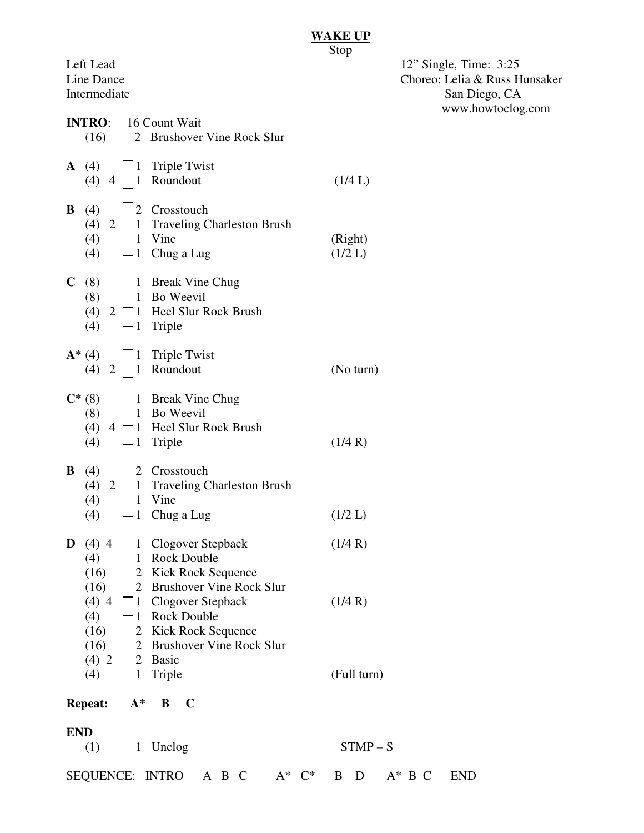# Stop

| Left Lead<br>Line Dance<br>Intermediate                                              |                                                                                                                                                                                                                  | $12$ " Single, Time: $3:25$<br>Choreo: Lelia & Russ H<br>San Diego, CA<br>www.howtoclog |
|--------------------------------------------------------------------------------------|------------------------------------------------------------------------------------------------------------------------------------------------------------------------------------------------------------------|-----------------------------------------------------------------------------------------|
| <b>INTRO:</b> 16 Count Wait                                                          | (16) 2 Brushover Vine Rock Slur                                                                                                                                                                                  |                                                                                         |
| <b>A</b> (4) $\begin{bmatrix} 1 \\ 1 \end{bmatrix}$ Triple Twist<br>(4) 4 1 Roundout |                                                                                                                                                                                                                  | (1/4 L)                                                                                 |
|                                                                                      | <b>B</b> (4) 2 $\begin{bmatrix} 2 & \text{Crosstouch} \\ 1 & \text{Traveling Charleston Brush} \\ 4 & 1 & \text{Vine} \\ 4 & -1 & \text{Chug a Lug} \end{bmatrix}$                                               | (Right)<br>(1/2 L)                                                                      |
| (4) $\Box$ 1 Triple                                                                  | $C(8)$ 1 Break Vine Chug<br>$(8)$ 1 Bo Weevil<br>(4) $2 \begin{bmatrix} 1 \\ 1 \end{bmatrix}$ Heel Slur Rock Brush                                                                                               |                                                                                         |
| $A^*(4)$ $\begin{bmatrix} 1 \\ 1 \end{bmatrix}$ Triple Twist<br>$(4)$ 2   1 Roundout |                                                                                                                                                                                                                  | (No turn)                                                                               |
| (4) $\Box$ 1 Triple                                                                  | $C^*$ (8) 1 Break Vine Chug<br>$(8)$ 1 Bo Weevil<br>(4) 4 $\Box$ Heel Slur Rock Brush                                                                                                                            | (1/4 R)                                                                                 |
| $\mathbf{B}$ (4) $\vert$ 2 Crosstouch<br>(4)<br>(4)                                  | $(4)$ 2 1 Traveling Charleston Brush<br>$\vert$ 1 Vine<br>$\Box$ 1 Chug a Lug                                                                                                                                    | (1/2 L)                                                                                 |
| D<br>$(4)$ 4                                                                         | $\lceil 1 \rceil$ Clogover Stepback                                                                                                                                                                              | (1/4 R)                                                                                 |
| (4)<br>(16)<br>(16)<br>(4)<br>(16)<br>(16)                                           | -1 Rock Double<br>2 Kick Rock Sequence<br>2 Brushover Vine Rock Slur<br>$(4)$ 4 $\begin{bmatrix} 1 \\ 0 \end{bmatrix}$ Clogover Stepback<br>-1 Rock Double<br>2 Kick Rock Sequence<br>2 Brushover Vine Rock Slur | (1/4 R)                                                                                 |
| (4) 2 $\Box$ 2 Basic<br>(4)                                                          | -1 Triple                                                                                                                                                                                                        | (Full turn)                                                                             |
| Repeat: A* B C                                                                       |                                                                                                                                                                                                                  |                                                                                         |
| <b>END</b><br>(1)                                                                    | 1 Unclog                                                                                                                                                                                                         | $STMP-S$                                                                                |
|                                                                                      | SEQUENCE: INTRO A B C $A^* C^*$ B D $A^* B C$                                                                                                                                                                    | <b>END</b>                                                                              |
|                                                                                      |                                                                                                                                                                                                                  |                                                                                         |

Time:  $3:25$ lia & Russ Hunsaker www.howtoclog.com